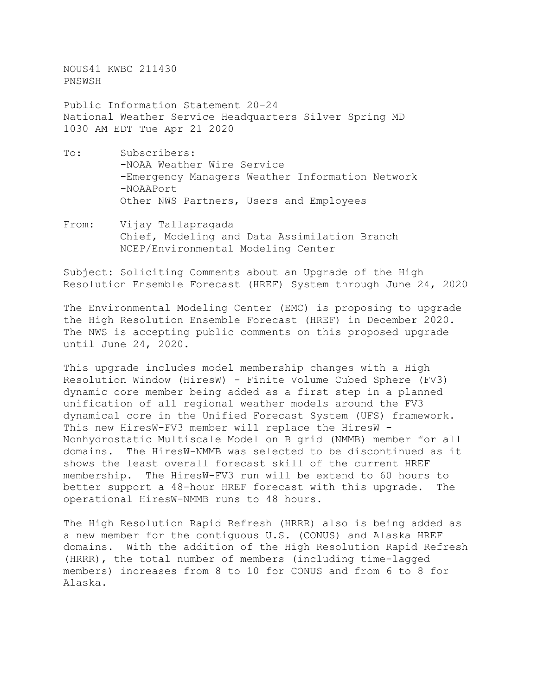NOUS41 KWBC 211430 PNSWSH

Public Information Statement 20-24 National Weather Service Headquarters Silver Spring MD 1030 AM EDT Tue Apr 21 2020

- To: Subscribers: -NOAA Weather Wire Service -Emergency Managers Weather Information Network -NOAAPort Other NWS Partners, Users and Employees
- From: Vijay Tallapragada Chief, Modeling and Data Assimilation Branch NCEP/Environmental Modeling Center

Subject: Soliciting Comments about an Upgrade of the High Resolution Ensemble Forecast (HREF) System through June 24, 2020

The Environmental Modeling Center (EMC) is proposing to upgrade the High Resolution Ensemble Forecast (HREF) in December 2020. The NWS is accepting public comments on this proposed upgrade until June 24, 2020.

This upgrade includes model membership changes with a High Resolution Window (HiresW) - Finite Volume Cubed Sphere (FV3) dynamic core member being added as a first step in a planned unification of all regional weather models around the FV3 dynamical core in the Unified Forecast System (UFS) framework. This new HiresW-FV3 member will replace the HiresW -Nonhydrostatic Multiscale Model on B grid (NMMB) member for all domains. The HiresW-NMMB was selected to be discontinued as it shows the least overall forecast skill of the current HREF membership. The HiresW-FV3 run will be extend to 60 hours to<br>better support a 48-hour HREF forecast with this upgrade. The better support a 48-hour HREF forecast with this upgrade. operational HiresW-NMMB runs to 48 hours.

The High Resolution Rapid Refresh (HRRR) also is being added as a new member for the contiguous U.S. (CONUS) and Alaska HREF domains. With the addition of the High Resolution Rapid Refresh (HRRR), the total number of members (including time-lagged members) increases from 8 to 10 for CONUS and from 6 to 8 for Alaska.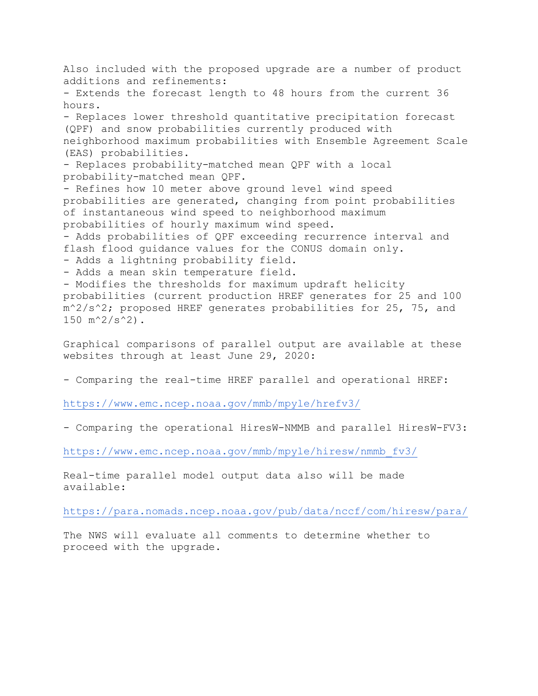Also included with the proposed upgrade are a number of product additions and refinements: - Extends the forecast length to 48 hours from the current 36 hours. - Replaces lower threshold quantitative precipitation forecast (QPF) and snow probabilities currently produced with neighborhood maximum probabilities with Ensemble Agreement Scale (EAS) probabilities. - Replaces probability-matched mean QPF with a local probability-matched mean QPF. - Refines how 10 meter above ground level wind speed probabilities are generated, changing from point probabilities of instantaneous wind speed to neighborhood maximum probabilities of hourly maximum wind speed. - Adds probabilities of QPF exceeding recurrence interval and flash flood guidance values for the CONUS domain only. - Adds a lightning probability field. - Adds a mean skin temperature field. - Modifies the thresholds for maximum updraft helicity probabilities (current production HREF generates for 25 and 100 m^2/s^2; proposed HREF generates probabilities for 25, 75, and 150  $m^2/s^2$ . Graphical comparisons of parallel output are available at these

websites through at least June 29, 2020:

- Comparing the real-time HREF parallel and operational HREF:

<https://www.emc.ncep.noaa.gov/mmb/mpyle/hrefv3/>

- Comparing the operational HiresW-NMMB and parallel HiresW-FV3:

[https://www.emc.ncep.noaa.gov/mmb/mpyle/hiresw/nmmb\\_fv3/](https://www.emc.ncep.noaa.gov/mmb/mpyle/hiresw/nmmb_fv3/)

Real-time parallel model output data also will be made available:

<https://para.nomads.ncep.noaa.gov/pub/data/nccf/com/hiresw/para/>

The NWS will evaluate all comments to determine whether to proceed with the upgrade.